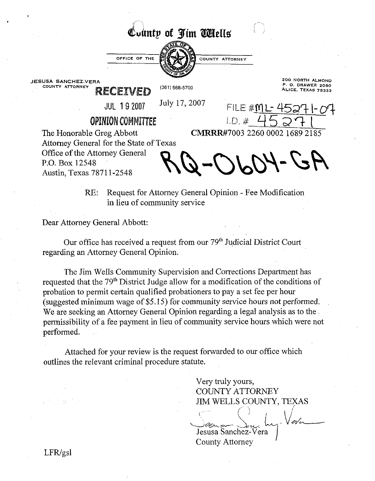## County of Jim **Wiells**



**JESUSA SANCHEZ-VERA 200 NORTH ALMOND** 

**RECEIVED**  $^{(361)668\text{-}5700}$  **ALICE. TEXAS 78333** 

**COUNTY ATTORNEY (361) COUNTY ATTORNEY (362)** *COUNTY ATTORNEY* **<b>P. 888 ALLOCAL COUNTY ATTORNEY P. 888 ALLOCAL COUNTY ATTORNEY** 

JUL 19 2007 July 17, 2007 FILE #ML- 4527 I- oT

CMRRR#7003 2260 0002 1689 2185

**OPINION COMMITTEE** 1.D.  $\#$  \_\_\_\_\_<br>The Honorable Greg Abbott **CMRRR#7003 226** Attorney General for the State of Texas Office df the Attorney General P.O. Box 12548 Austin, Texas 7871 1-2548

 $A2 - 1000 - 6$ 

COUNTY ATTORNEY

RE: Request for Attorney General Opinion - Fee Modification in lieu of community service

Dear Attorney General Abbott:

Our office has received a request from our 79" Judicial District Court regarding an Attorney General Opinion.

The Jim WelIs Community Supervision and Corrections Department has requested that the 79<sup>th</sup> District Judge allow for a modification of the conditions of probation to permit certain qualified probationers to pay a set fee per hour (suggested minimum wage of \$5.15) for community service hours not performed. We are seeking an Attorney General Opinion regarding a legal analysis as to the permissibility of a fee payment in lieu of community service hours which were not performed.

Attached for your review is the request forwarded to our office which outlines the relevant criminal procedure statute.

> Very truly yours, COUNTY ATTORNEY JIM WELLS COUNTY, TEXAS

**\d6!!\*.p#**  Jesusa Sanchez-Vera County Attorney

!'.'

 $LFR/gsl$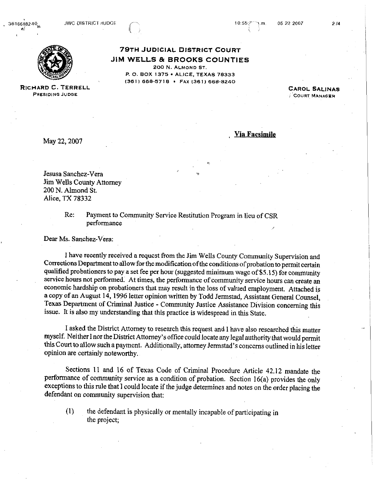

**79TH JUDICIAL DISTRICT COURT JIM WELLS** & **BROOKS COUNTIES**  200 **N. ALMOND ST. P. 0. BOX 1375 ALICE, TEXAS 78333 I36 1 I** 668-57 18 . **FAX 136 1** ) 668-8240

**CAROL SALINAS** COURT MANAGER

**RICHARD C. TERRELL PRESIDING JUDGE** 

May 22,2007

, **Via Facsimile** 

Jesusa Sanchez-Vera Jim Wells County Attorney 200 N. Almond St. Alice, TX **78332** 

> Re: Payment to Community Service Restitution Program in lieu of CSR performance

Dear Ms. Sanchez-Vera:

I have recently received a request from the Jim Wells County Community Supervision and Corrections Department to allow for the modification of the conditions of probation to permit certain qualified probationers to pay a set fee per hour (suggested minimum wage of \$5.15) for community servicc hours not performed. At times, the performance of community service hours can create an economic hardship on probationers that may result in the loss of valued employment. Attached is a copy of an August 14,1996 letter opinion written by Todd Jermstad, Assistant General Counsel, Texas Department of Criminal Justice - Community Justice Assistance Division concerning this issue. It is also my understanding that this practice is widespread in this State.

I asked the District Attorney to research this request and I have also researched this matter myself. NeitherInor the District Attorney's office could locate any legal authority that would permit this Court to allow such a payment. Additionally, attorney Jermstad's concerns outlined in his letter opinion are certainly noteworthy.

Sections 11 and 16 of Texas Code of Criminal Procedure Article 42.12 mandate the performance of community service as a condition of probation. Section 16(a) provides the only exceptions to this rule that 1 could locate if the judge determines and notes on the order placing the defendant on community supervision that:

**(1)** the defendant is physically or mentally incapable of participating in the project;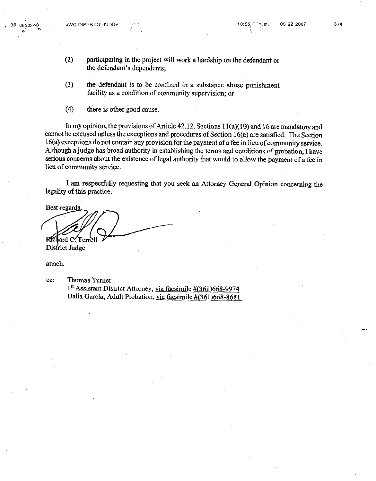- (2) participating in the project will work a hardship on the defendant or the defendant's dependents;
- **(3)** the defendant is to be confined in a substance abuse punishment facility as a condition of community supervision; or
- **(4)** there is other good cause.

In my opinion, the provisions of Article 42.12, Sections 1 1(a)(10) and 16 are mandatory and cannot be excused unless the exceptions and procedures of Section **16(a)** are satisfied. The Section 16(a) exceptions do not contain any provision for the payment of a fee in lieu of community service. Although a judge has broad authority in establishing the terms and conditions of probation, I have serious concerns about the existence of legal authority that would to allow the payment of a fee in lieu of community service.

I am respectfully requesting that you seek an Attorney General Opinion concerning the legality of this practice.

Best regards Richard C. Terrell District Judge

attach.

**cc:** Thomas Turner **1"** Assistant District Attorney, via facsimile **#(361)668-9974**  Dalia Garcia, Adult Probation, via facsimile **#(361)668-8681**